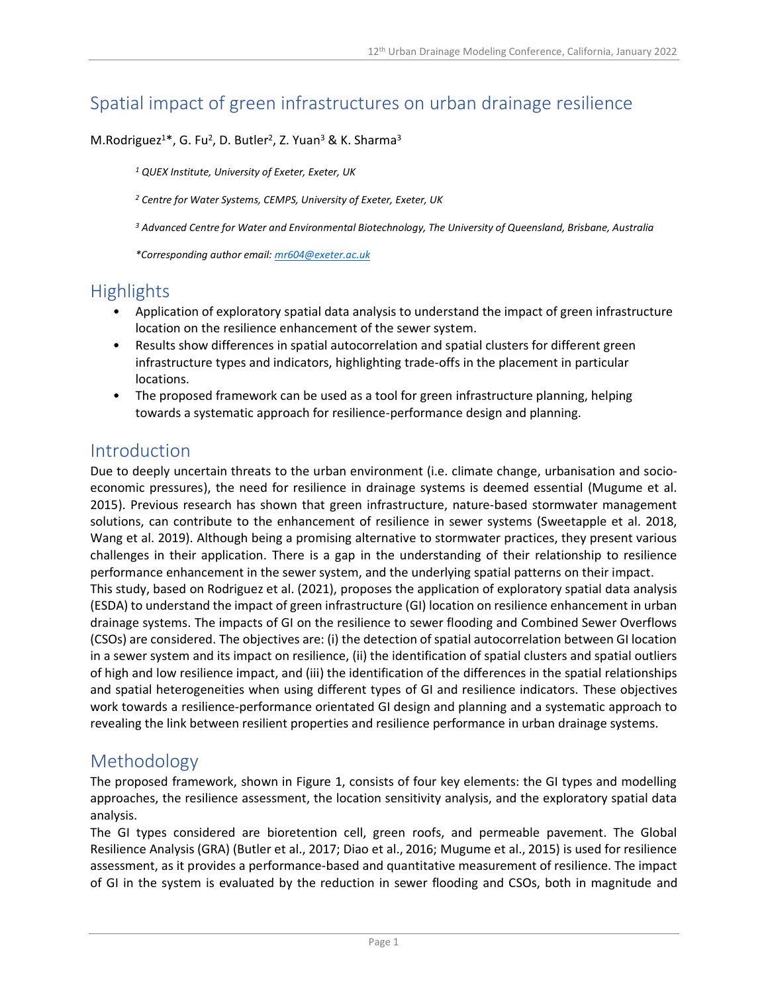# Spatial impact of green infrastructures on urban drainage resilience

#### M.Rodriguez<sup>1\*</sup>, G. Fu<sup>2</sup>, D. Butler<sup>2</sup>, Z. Yuan<sup>3</sup> & K. Sharma<sup>3</sup>

*<sup>1</sup> QUEX Institute, University of Exeter, Exeter, UK*

*<sup>2</sup> Centre for Water Systems, CEMPS, University of Exeter, Exeter, UK*

*<sup>3</sup> Advanced Centre for Water and Environmental Biotechnology, The University of Queensland, Brisbane, Australia*

*\*Corresponding author email: [mr604@exeter.ac.uk](mailto:mr604@exeter.ac.uk)*

#### **Highlights**

- Application of exploratory spatial data analysis to understand the impact of green infrastructure location on the resilience enhancement of the sewer system.
- Results show differences in spatial autocorrelation and spatial clusters for different green infrastructure types and indicators, highlighting trade-offs in the placement in particular locations.
- The proposed framework can be used as a tool for green infrastructure planning, helping towards a systematic approach for resilience-performance design and planning.

#### Introduction

Due to deeply uncertain threats to the urban environment (i.e. climate change, urbanisation and socioeconomic pressures), the need for resilience in drainage systems is deemed essential (Mugume et al. 2015). Previous research has shown that green infrastructure, nature-based stormwater management solutions, can contribute to the enhancement of resilience in sewer systems (Sweetapple et al. 2018, Wang et al. 2019). Although being a promising alternative to stormwater practices, they present various challenges in their application. There is a gap in the understanding of their relationship to resilience performance enhancement in the sewer system, and the underlying spatial patterns on their impact. This study, based on Rodriguez et al. (2021), proposes the application of exploratory spatial data analysis (ESDA) to understand the impact of green infrastructure (GI) location on resilience enhancement in urban drainage systems. The impacts of GI on the resilience to sewer flooding and Combined Sewer Overflows (CSOs) are considered. The objectives are: (i) the detection of spatial autocorrelation between GI location in a sewer system and its impact on resilience, (ii) the identification of spatial clusters and spatial outliers of high and low resilience impact, and (iii) the identification of the differences in the spatial relationships and spatial heterogeneities when using different types of GI and resilience indicators. These objectives work towards a resilience-performance orientated GI design and planning and a systematic approach to revealing the link between resilient properties and resilience performance in urban drainage systems.

### Methodology

The proposed framework, shown in Figure 1, consists of four key elements: the GI types and modelling approaches, the resilience assessment, the location sensitivity analysis, and the exploratory spatial data analysis.

The GI types considered are bioretention cell, green roofs, and permeable pavement. The Global Resilience Analysis (GRA) (Butler et al., 2017; Diao et al., 2016; Mugume et al., 2015) is used for resilience assessment, as it provides a performance-based and quantitative measurement of resilience. The impact of GI in the system is evaluated by the reduction in sewer flooding and CSOs, both in magnitude and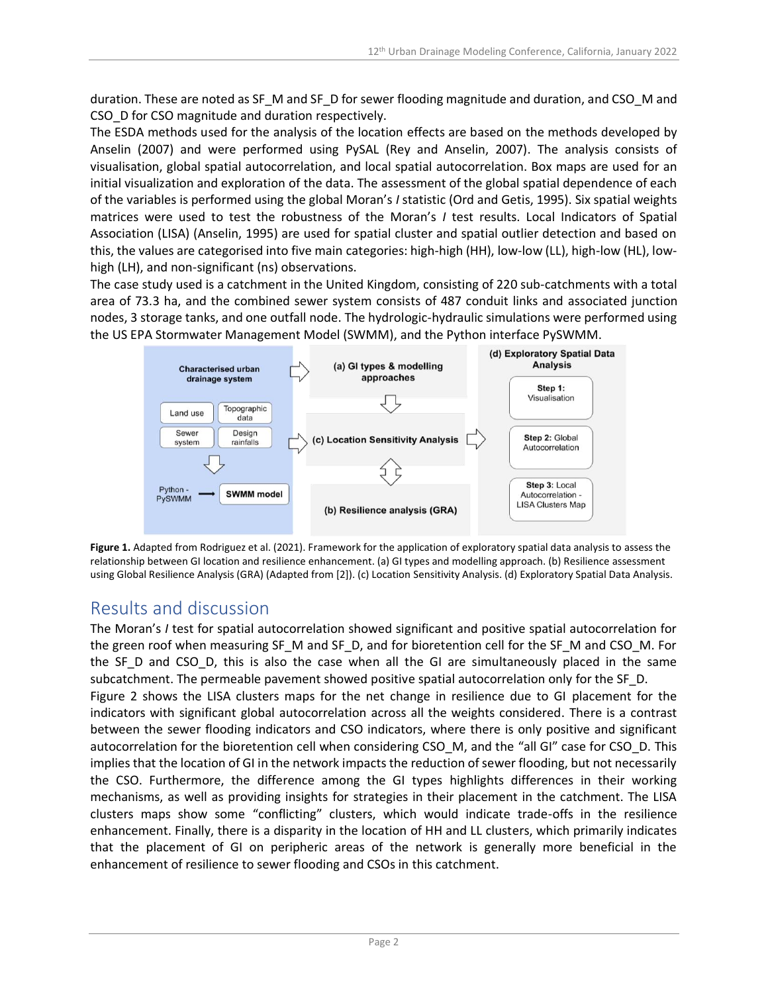duration. These are noted as SF\_M and SF\_D for sewer flooding magnitude and duration, and CSO\_M and CSO D for CSO magnitude and duration respectively.

The ESDA methods used for the analysis of the location effects are based on the methods developed by Anselin (2007) and were performed using PySAL (Rey and Anselin, 2007). The analysis consists of visualisation, global spatial autocorrelation, and local spatial autocorrelation. Box maps are used for an initial visualization and exploration of the data. The assessment of the global spatial dependence of each of the variables is performed using the global Moran's *I* statistic (Ord and Getis, 1995). Six spatial weights matrices were used to test the robustness of the Moran's *I* test results. Local Indicators of Spatial Association (LISA) (Anselin, 1995) are used for spatial cluster and spatial outlier detection and based on this, the values are categorised into five main categories: high-high (HH), low-low (LL), high-low (HL), lowhigh (LH), and non-significant (ns) observations.

The case study used is a catchment in the United Kingdom, consisting of 220 sub-catchments with a total area of 73.3 ha, and the combined sewer system consists of 487 conduit links and associated junction nodes, 3 storage tanks, and one outfall node. The hydrologic-hydraulic simulations were performed using the US EPA Stormwater Management Model (SWMM), and the Python interface PySWMM.



**Figure 1.** Adapted from Rodriguez et al. (2021). Framework for the application of exploratory spatial data analysis to assess the relationship between GI location and resilience enhancement. (a) GI types and modelling approach. (b) Resilience assessment using Global Resilience Analysis (GRA) (Adapted from [2]). (c) Location Sensitivity Analysis. (d) Exploratory Spatial Data Analysis.

## Results and discussion

The Moran's *I* test for spatial autocorrelation showed significant and positive spatial autocorrelation for the green roof when measuring SF\_M and SF\_D, and for bioretention cell for the SF\_M and CSO\_M. For the SF\_D and CSO\_D, this is also the case when all the GI are simultaneously placed in the same subcatchment. The permeable pavement showed positive spatial autocorrelation only for the SF\_D. Figure 2 shows the LISA clusters maps for the net change in resilience due to GI placement for the indicators with significant global autocorrelation across all the weights considered. There is a contrast between the sewer flooding indicators and CSO indicators, where there is only positive and significant autocorrelation for the bioretention cell when considering CSO M, and the "all GI" case for CSO D. This implies that the location of GI in the network impacts the reduction of sewer flooding, but not necessarily the CSO. Furthermore, the difference among the GI types highlights differences in their working mechanisms, as well as providing insights for strategies in their placement in the catchment. The LISA clusters maps show some "conflicting" clusters, which would indicate trade-offs in the resilience enhancement. Finally, there is a disparity in the location of HH and LL clusters, which primarily indicates that the placement of GI on peripheric areas of the network is generally more beneficial in the enhancement of resilience to sewer flooding and CSOs in this catchment.